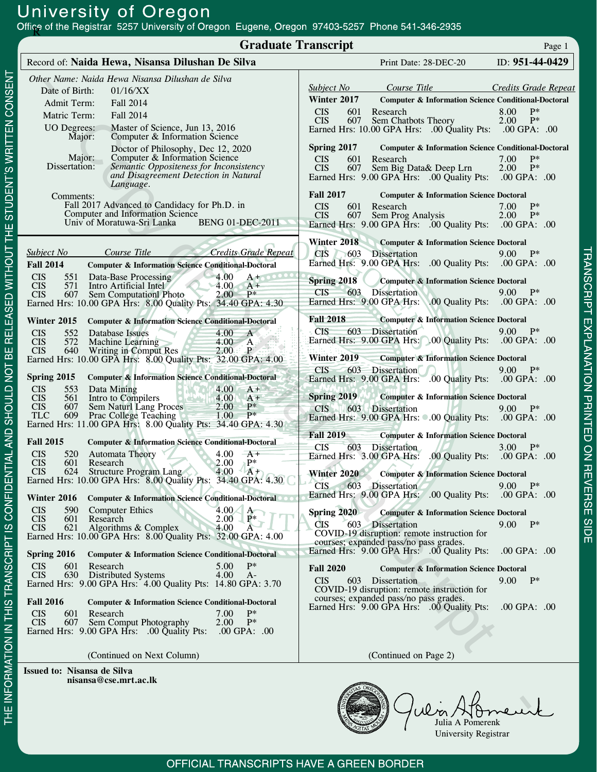| Office of the Registrar 5257 University of Oregon Eugene, Oregon 97403-5257 Phone 541-346-2935                                                                                                                                                                                                                                                                                                                                           |                                                                                                                                                                                                                                                                                                                                                                                                              |  |  |
|------------------------------------------------------------------------------------------------------------------------------------------------------------------------------------------------------------------------------------------------------------------------------------------------------------------------------------------------------------------------------------------------------------------------------------------|--------------------------------------------------------------------------------------------------------------------------------------------------------------------------------------------------------------------------------------------------------------------------------------------------------------------------------------------------------------------------------------------------------------|--|--|
| <b>Graduate Transcript</b><br>Page 1                                                                                                                                                                                                                                                                                                                                                                                                     |                                                                                                                                                                                                                                                                                                                                                                                                              |  |  |
| Record of: Naida Hewa, Nisansa Dilushan De Silva                                                                                                                                                                                                                                                                                                                                                                                         | ID: 951-44-0429<br>Print Date: 28-DEC-20                                                                                                                                                                                                                                                                                                                                                                     |  |  |
| Other Name: Naida Hewa Nisansa Dilushan de Silva<br>Date of Birth:<br>01/16/XX<br>Admit Term:<br>Fall 2014<br>Matric Term:<br>Fall 2014<br>Master of Science, Jun 13, 2016<br><b>UO</b> Degrees:<br>Computer & Information Science<br>Major:<br>Doctor of Philosophy, Dec 12, 2020                                                                                                                                                       | Course Title<br>Subject No<br>Credits Grade Repeat<br>Winter 2017<br>Computer & Information Science Conditional-Doctoral<br>8.00 P*<br>601<br><b>CIS</b><br>Research<br>607 Sem Chatbots Theory<br>$2.00$ P*<br><b>CIS</b><br>Earned Hrs: 10.00 GPA Hrs: .00 Quality Pts: .00 GPA: .00<br>Spring 2017<br>Computer & Information Science Conditional-Doctoral                                                 |  |  |
| Major:<br>Computer & Information Science<br>Dissertation:<br>Semantic Oppositeness for Inconsistency<br>and Disagreement Detection in Natural<br>Language.<br>Comments:<br>Fall 2017 Advanced to Candidacy for Ph.D. in<br>Computer and Information Science<br>Univ of Moratuwa-Sri Lanka<br><b>BENG 01-DEC-2011</b>                                                                                                                     | 7.00<br>$P*$<br><b>CIS</b><br>601<br>Research<br>$2.00$ P*<br><b>CIS</b><br>607 Sem Big Data & Deep Lrn<br>Earned Hrs: 9.00 GPA Hrs: .00 Quality Pts: .00 GPA: .00<br><b>Fall 2017</b><br><b>Computer &amp; Information Science Doctoral</b><br>Research<br>7.00<br>$P*$<br><b>CIS</b><br>601<br>607 Sem Prog Analysis<br><b>CIS</b><br>$2.00$ P*<br>Earned Hrs: 9.00 GPA Hrs: .00 Quality Pts: .00 GPA: .00 |  |  |
| <b>Credits Grade Repeat</b><br>Course Title<br>Subject No<br><b>Fall 2014</b><br><b>Computer &amp; Information Science Conditional-Doctoral</b><br>$-4.00$<br><b>CIS</b><br>551<br>Data-Base Processing<br>$A + 0000$<br>$\bigcirc$ 4.00<br><b>CIS</b><br>571<br>Intro Artificial Intel<br>$A +$<br>607 Sem Computationl Photo<br>2.00<br><b>CIS</b><br>$P^*$<br>Earned Hrs: 10.00 GPA Hrs: 8.00 Quality Pts: 34.40 GPA: 4.30            | Winter 2018<br>Computer & Information Science Doctoral<br>CIS 603 Dissertation<br>$9.00 P^*$<br>Earned Hrs: 9.00 GPA Hrs: .00 Quality Pts: .00 GPA: .00<br>Spring 2018<br>Computer & Information Science Doctoral<br>CIS<br>603 Dissertation<br>$9.00 P^*$<br>Earned Hrs: 9.00 GPA Hrs: .00 Quality Pts: .00 GPA: .00                                                                                        |  |  |
| Winter 2015<br><b>Computer &amp; Information Science Conditional-Doctoral</b><br>4.00<br><b>CIS</b><br>552<br>Database Issues<br>A<br>4.00 A<br>572<br><b>Machine Learning</b><br><b>CIS</b><br>$\geq$<br>$2.00 \cdot P$<br><b>CIS</b><br>640 Writing in Comput Res<br>Earned Hrs: 10.00 GPA Hrs: 8.00 Quality Pts: 32.00 GPA: 4.00                                                                                                      | <b>Fall 2018</b><br><b>Computer &amp; Information Science Doctoral</b><br>$9.00$ P*<br><b>CIS</b><br>603 Dissertation<br>Earned Hrs: 9.00 GPA Hrs: 0.00 Quality Pts: 00 GPA: 00<br>Winter 2019<br><b>Computer &amp; Information Science Doctoral</b>                                                                                                                                                         |  |  |
| Spring 2015<br><b>Computer &amp; Information Science Conditional-Doctoral</b><br>4.00<br><b>CIS</b><br>553<br>Data Mining<br>$A^+$<br>Intro to Compilers<br><b>CIS</b><br>4.00<br>561<br>$A^+$<br>607 Sem Naturl Lang Proces 2.00<br>609 Prac College Teaching 1.00<br>$P*$<br><b>CIS</b><br>$- P^*$<br><b>TLC</b><br>Earned Hrs: 11.00 GPA Hrs: 8.00 Quality Pts: 34.40 GPA: 4.30                                                       | 603 Dissertation<br>9.00 $P^*$<br>CIS<br>Earned Hrs: 9.00 GPA Hrs: .00 Quality Pts: .00 GPA: .00<br><b>Spring 2019</b><br><b>Computer &amp; Information Science Doctoral</b><br>603 Dissertation<br>CIS<br>$9.00 P^*$<br>Earned Hrs: 9.00 GPA Hrs: 0.00 Quality Pts: .00 GPA: .00                                                                                                                            |  |  |
| <b>Fall 2015</b><br><b>Computer &amp; Information Science Conditional-Doctoral</b><br>520 Automata Theory<br>4.00 $-A+$<br><b>CIS</b><br>2.00<br>$P^*$<br><b>CIS</b><br>601<br>Research<br>$4.00 \quad A+$<br><b>CIS</b><br>624<br>Structure Program Lang<br>Earned Hrs: 10.00 GPA Hrs: 8.00 Quality Pts: 34.40 GPA: 4.30<br>Winter 2016<br><b>Computer &amp; Information Science Conditional-Doctoral OC</b>                            | <b>Fall 2019</b><br><b>Computer &amp; Information Science Doctoral</b><br><b>CIS</b><br>603 Dissertation<br>3.00 $P^*$<br>Earned Hrs: 3.00 GPA Hrs: .00 Quality Pts: .00 GPA: .00<br><b>Winter 2020</b><br><b>Computer &amp; Information Science Doctoral</b><br>603 Dissertation<br><b>CIS</b><br>$9.00 P^*$<br>Earned Hrs: 9.00 GPA Hrs: .00 Quality Pts: .00 GPA: .00                                     |  |  |
| $4.00\measuredangle$ A<br><b>CIS</b><br>590<br><b>Computer Ethics</b><br><b>CIS</b><br>601<br>Research<br>2.00<br>$P^*$<br>Algorithms & Complex<br><b>CIS</b><br>621<br>4.00<br>A<br>Earned Hrs: 10.00 GPA Hrs: 8.00 Quality Pts: 32.00 GPA: 4.00<br>Spring 2016<br><b>Computer &amp; Information Science Conditional-Doctoral</b>                                                                                                       | Spring $2020$<br><b>Computer &amp; Information Science Doctoral</b><br>$9.00$ P*<br><b>CIS</b><br>603 Dissertation<br>COVID-19 disruption: remote instruction for<br>courses; expanded pass/no pass grades.<br>Earned Hrs: 9.00 GPA Hrs: .00 Quality Pts:<br>$.00$ GPA: $.00$                                                                                                                                |  |  |
| Research<br>5.00<br>$P*$<br><b>CIS</b><br>601<br><b>CIS</b><br><b>Distributed Systems</b><br>630<br>4.00<br>$A-$<br>Earned Hrs: 9.00 GPA Hrs: 4.00 Quality Pts: 14.80 GPA: 3.70<br><b>Fall 2016</b><br>Computer & Information Science Conditional-Doctoral<br><b>CIS</b><br>$P*$<br>601<br>Research<br>7.00<br>$P^*$<br>2.00<br><b>CIS</b><br>607 -<br>Sem Comput Photography<br>Earned Hrs: 9.00 GPA Hrs: .00 Quality Pts: .00 GPA: .00 | <b>Fall 2020</b><br><b>Computer &amp; Information Science Doctoral</b><br><b>CIS</b><br>Dissertation<br>$9.00 P^*$<br>603<br>COVID-19 disruption: remote instruction for<br>courses; expanded pass/no pass grades.<br>Earned Hrs: 9.00 GPA Hrs: .00 Quality Pts:<br>$.00$ GPA: $.00$                                                                                                                         |  |  |
| (Continued on Next Column)<br>Issued to: Nisansa de Silva                                                                                                                                                                                                                                                                                                                                                                                | (Continued on Page 2)                                                                                                                                                                                                                                                                                                                                                                                        |  |  |

nisansa@cse.mrt.ac.lk

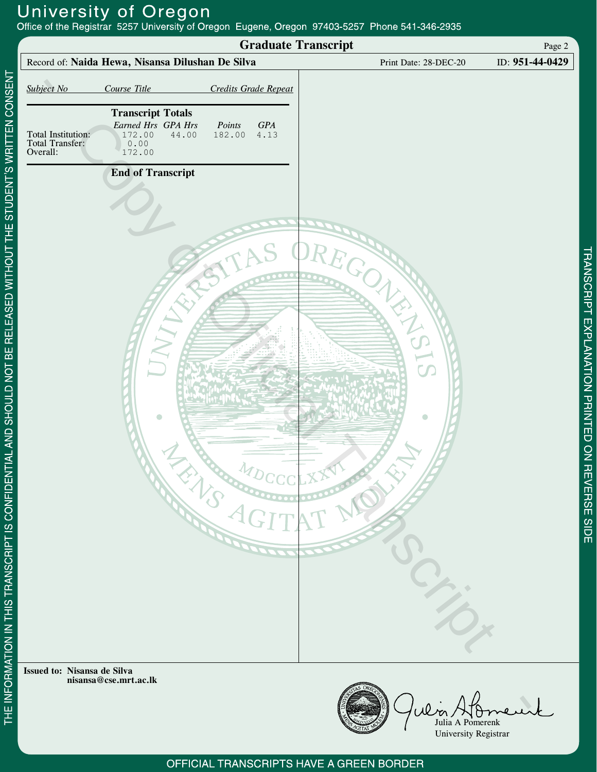University of Oregon<br>Office of the Registrar 5257 University of Oregon Eugene, Oregon 97403-5257 Phone 541-346-2935